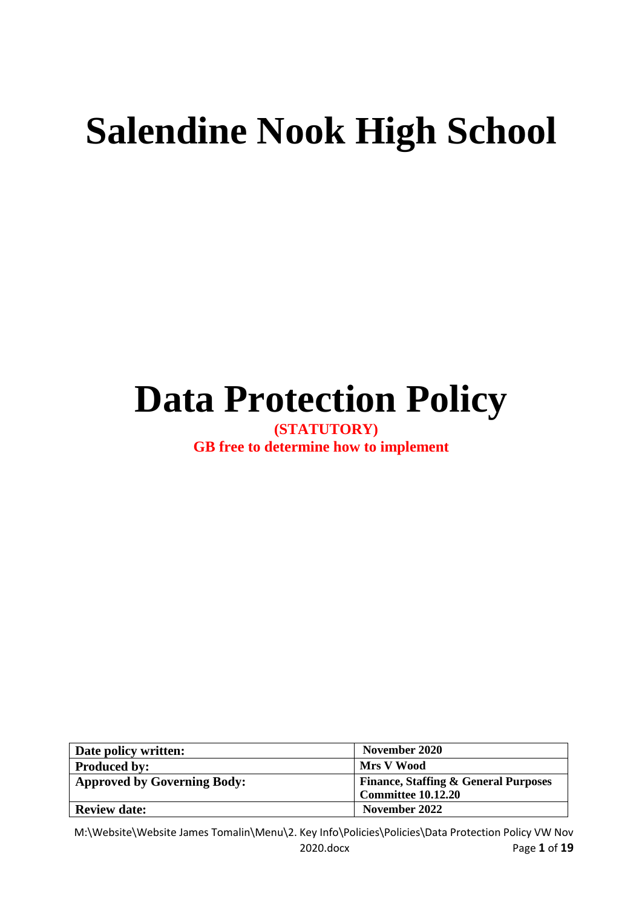# **Salendine Nook High School**

## **Data Protection Policy**

**(STATUTORY) GB free to determine how to implement**

| Date policy written:               | November 2020                                   |  |  |  |
|------------------------------------|-------------------------------------------------|--|--|--|
| <b>Produced by:</b>                | Mrs V Wood                                      |  |  |  |
| <b>Approved by Governing Body:</b> | <b>Finance, Staffing &amp; General Purposes</b> |  |  |  |
|                                    | <b>Committee 10.12.20</b>                       |  |  |  |
| <b>Review date:</b>                | November 2022                                   |  |  |  |

M:\Website\Website James Tomalin\Menu\2. Key Info\Policies\Policies\Data Protection Policy VW Nov 2020.docx Page **1** of **19**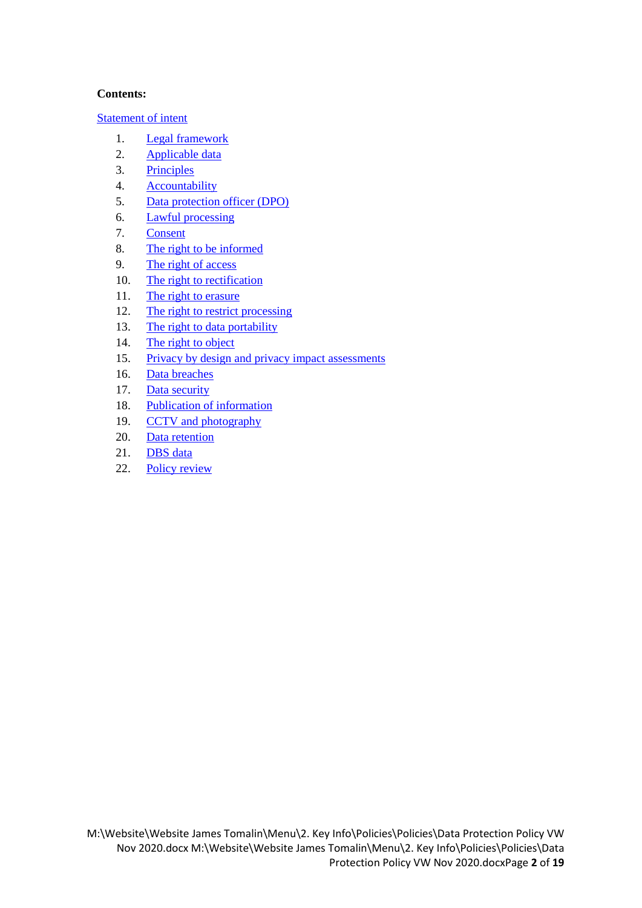#### **Contents:**

[Statement of intent](#page-2-0)

- 1. [Legal framework](#page-3-0)
- 2. [Applicable data](#page-3-1)
- 3. [Principles](#page-3-2)
- 4. [Accountability](#page-4-0)
- 5. [Data protection officer \(DPO\)](#page-5-0)
- 6. [Lawful processing](#page-5-1)
- 7. [Consent](#page-6-0)
- 8. The right [to be informed](#page-6-1)
- 9. [The right of access](#page-7-0)
- 10. [The right to rectification](#page-8-0)
- 11. [The right to erasure](#page-8-1)
- 12. [The right to restrict processing](#page-9-0)
- 13. [The right to data portability](#page-9-1)
- 14. [The right to object](#page-10-0)
- 15. [Privacy by design and privacy impact assessments](#page-11-0)
- 16. [Data breaches](#page-11-1)
- 17. [Data security](#page-12-0)
- 18. [Publication of information](#page-13-0)
- 19. [CCTV and photography](#page-14-0)
- 20. [Data retention](#page-15-0)
- 21. [DBS data](#page-15-1)
- 22. [Policy review](#page-16-0)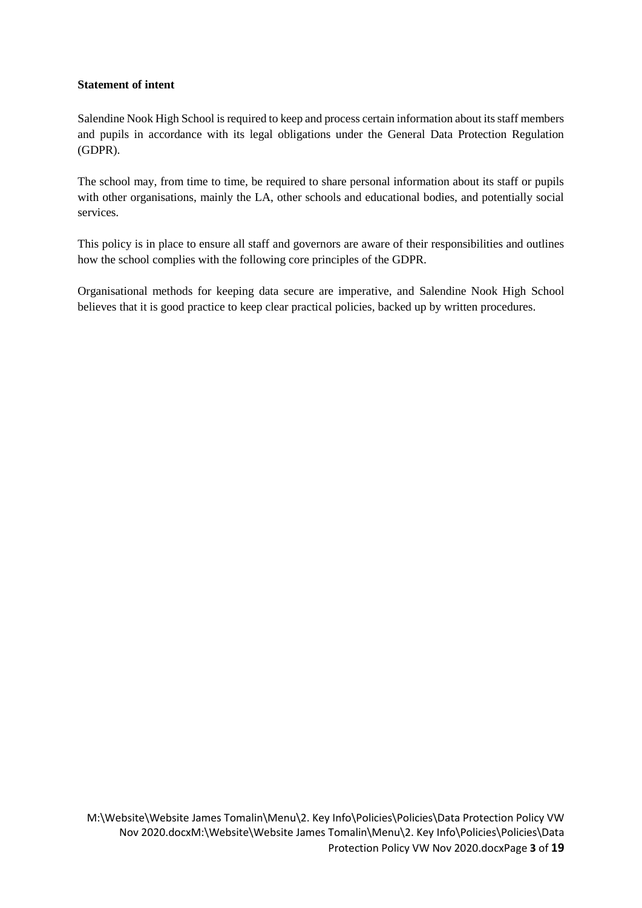#### <span id="page-2-0"></span>**Statement of intent**

Salendine Nook High School is required to keep and process certain information about its staff members and pupils in accordance with its legal obligations under the General Data Protection Regulation (GDPR).

The school may, from time to time, be required to share personal information about its staff or pupils with other organisations, mainly the LA, other schools and educational bodies, and potentially social services.

This policy is in place to ensure all staff and governors are aware of their responsibilities and outlines how the school complies with the following core principles of the GDPR.

Organisational methods for keeping data secure are imperative, and Salendine Nook High School believes that it is good practice to keep clear practical policies, backed up by written procedures.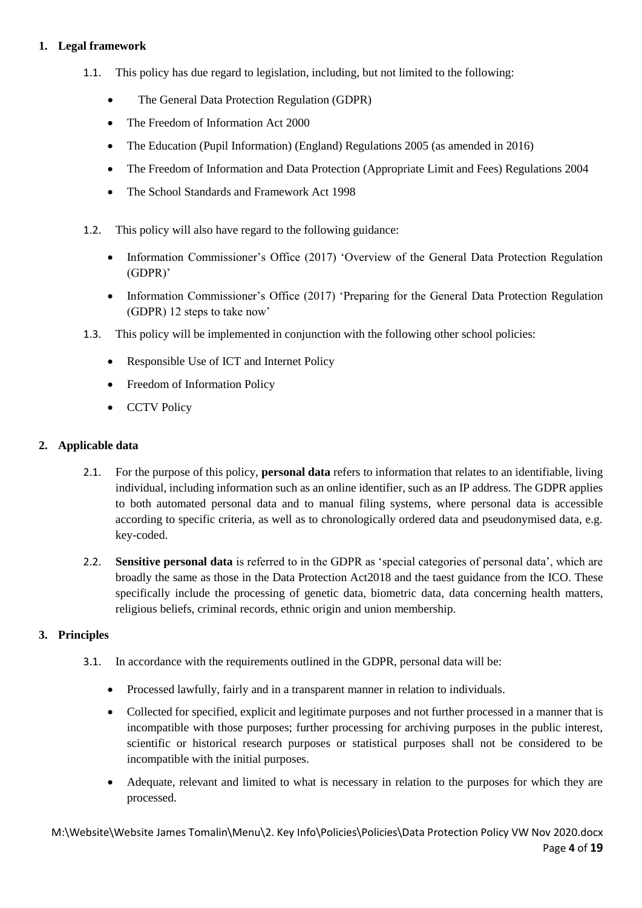#### <span id="page-3-0"></span>**1. Legal framework**

- 1.1. This policy has due regard to legislation, including, but not limited to the following:
	- The General Data Protection Regulation (GDPR)
	- The Freedom of Information Act 2000
	- The Education (Pupil Information) (England) Regulations 2005 (as amended in 2016)
	- The Freedom of Information and Data Protection (Appropriate Limit and Fees) Regulations 2004
	- The School Standards and Framework Act 1998
- 1.2. This policy will also have regard to the following guidance:
	- Information Commissioner's Office (2017) 'Overview of the General Data Protection Regulation (GDPR)'
	- Information Commissioner's Office (2017) 'Preparing for the General Data Protection Regulation (GDPR) 12 steps to take now'
- 1.3. This policy will be implemented in conjunction with the following other school policies:
	- Responsible Use of ICT and Internet Policy
	- Freedom of Information Policy
	- CCTV Policy

#### <span id="page-3-1"></span>**2. Applicable data**

- 2.1. For the purpose of this policy, **personal data** refers to information that relates to an identifiable, living individual, including information such as an online identifier, such as an IP address. The GDPR applies to both automated personal data and to manual filing systems, where personal data is accessible according to specific criteria, as well as to chronologically ordered data and pseudonymised data, e.g. key-coded.
- 2.2. **Sensitive personal data** is referred to in the GDPR as 'special categories of personal data', which are broadly the same as those in the Data Protection Act2018 and the taest guidance from the ICO. These specifically include the processing of genetic data, biometric data, data concerning health matters, religious beliefs, criminal records, ethnic origin and union membership.

#### <span id="page-3-2"></span>**3. Principles**

- 3.1. In accordance with the requirements outlined in the GDPR, personal data will be:
	- Processed lawfully, fairly and in a transparent manner in relation to individuals.
	- Collected for specified, explicit and legitimate purposes and not further processed in a manner that is incompatible with those purposes; further processing for archiving purposes in the public interest, scientific or historical research purposes or statistical purposes shall not be considered to be incompatible with the initial purposes.
	- Adequate, relevant and limited to what is necessary in relation to the purposes for which they are processed.

M:\Website\Website James Tomalin\Menu\2. Key Info\Policies\Policies\Data Protection Policy VW Nov 2020.docx Page **4** of **19**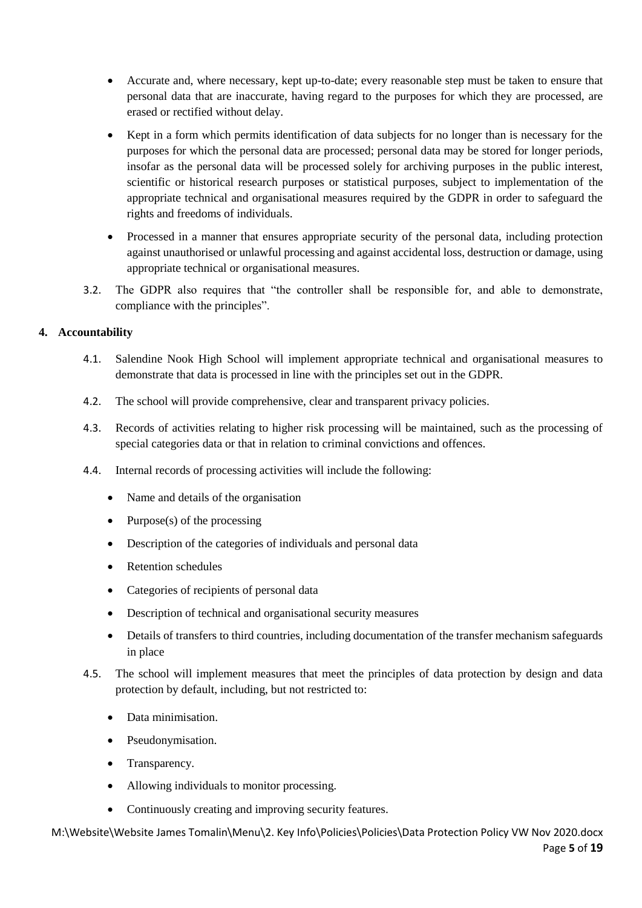- Accurate and, where necessary, kept up-to-date; every reasonable step must be taken to ensure that personal data that are inaccurate, having regard to the purposes for which they are processed, are erased or rectified without delay.
- Kept in a form which permits identification of data subjects for no longer than is necessary for the purposes for which the personal data are processed; personal data may be stored for longer periods, insofar as the personal data will be processed solely for archiving purposes in the public interest, scientific or historical research purposes or statistical purposes, subject to implementation of the appropriate technical and organisational measures required by the GDPR in order to safeguard the rights and freedoms of individuals.
- Processed in a manner that ensures appropriate security of the personal data, including protection against unauthorised or unlawful processing and against accidental loss, destruction or damage, using appropriate technical or organisational measures.
- 3.2. The GDPR also requires that "the controller shall be responsible for, and able to demonstrate, compliance with the principles".

#### <span id="page-4-0"></span>**4. Accountability**

- 4.1. Salendine Nook High School will implement appropriate technical and organisational measures to demonstrate that data is processed in line with the principles set out in the GDPR.
- 4.2. The school will provide comprehensive, clear and transparent privacy policies.
- 4.3. Records of activities relating to higher risk processing will be maintained, such as the processing of special categories data or that in relation to criminal convictions and offences.
- 4.4. Internal records of processing activities will include the following:
	- Name and details of the organisation
	- Purpose $(s)$  of the processing
	- Description of the categories of individuals and personal data
	- Retention schedules
	- Categories of recipients of personal data
	- Description of technical and organisational security measures
	- Details of transfers to third countries, including documentation of the transfer mechanism safeguards in place
- 4.5. The school will implement measures that meet the principles of data protection by design and data protection by default, including, but not restricted to:
	- Data minimisation.
	- Pseudonymisation.
	- Transparency.
	- Allowing individuals to monitor processing.
	- Continuously creating and improving security features.

M:\Website\Website James Tomalin\Menu\2. Key Info\Policies\Policies\Data Protection Policy VW Nov 2020.docx Page **5** of **19**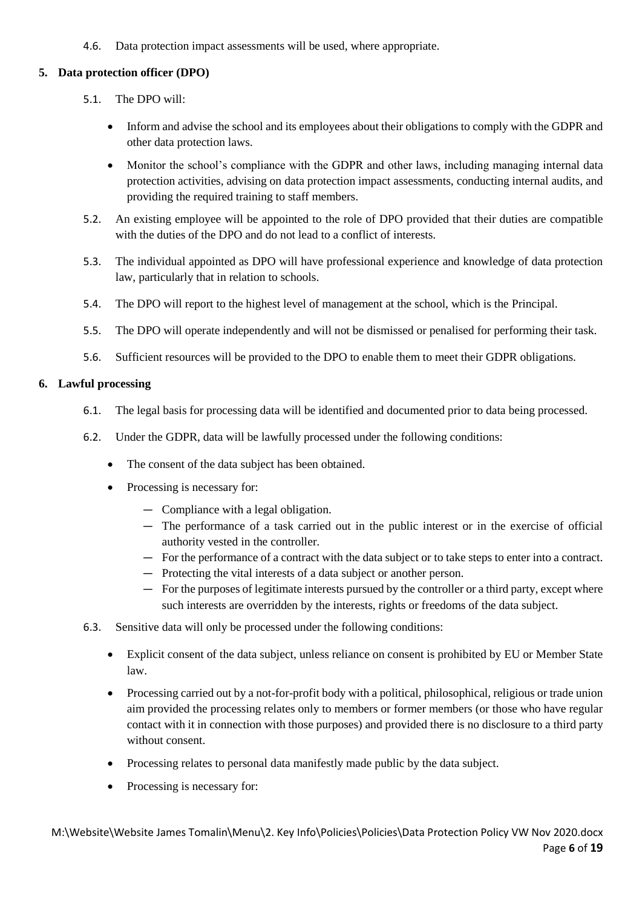4.6. Data protection impact assessments will be used, where appropriate.

#### <span id="page-5-0"></span>**5. Data protection officer (DPO)**

- 5.1. The DPO will:
	- Inform and advise the school and its employees about their obligations to comply with the GDPR and other data protection laws.
	- Monitor the school's compliance with the GDPR and other laws, including managing internal data protection activities, advising on data protection impact assessments, conducting internal audits, and providing the required training to staff members.
- 5.2. An existing employee will be appointed to the role of DPO provided that their duties are compatible with the duties of the DPO and do not lead to a conflict of interests.
- 5.3. The individual appointed as DPO will have professional experience and knowledge of data protection law, particularly that in relation to schools.
- 5.4. The DPO will report to the highest level of management at the school, which is the Principal.
- 5.5. The DPO will operate independently and will not be dismissed or penalised for performing their task.
- 5.6. Sufficient resources will be provided to the DPO to enable them to meet their GDPR obligations.

#### <span id="page-5-1"></span>**6. Lawful processing**

- 6.1. The legal basis for processing data will be identified and documented prior to data being processed.
- 6.2. Under the GDPR, data will be lawfully processed under the following conditions:
	- The consent of the data subject has been obtained.
	- Processing is necessary for:
		- Compliance with a legal obligation.
		- The performance of a task carried out in the public interest or in the exercise of official authority vested in the controller.
		- For the performance of a contract with the data subject or to take steps to enter into a contract.
		- Protecting the vital interests of a data subject or another person.
		- For the purposes of legitimate interests pursued by the controller or a third party, except where such interests are overridden by the interests, rights or freedoms of the data subject.
- 6.3. Sensitive data will only be processed under the following conditions:
	- Explicit consent of the data subject, unless reliance on consent is prohibited by EU or Member State law.
	- Processing carried out by a not-for-profit body with a political, philosophical, religious or trade union aim provided the processing relates only to members or former members (or those who have regular contact with it in connection with those purposes) and provided there is no disclosure to a third party without consent.
	- Processing relates to personal data manifestly made public by the data subject.
	- Processing is necessary for: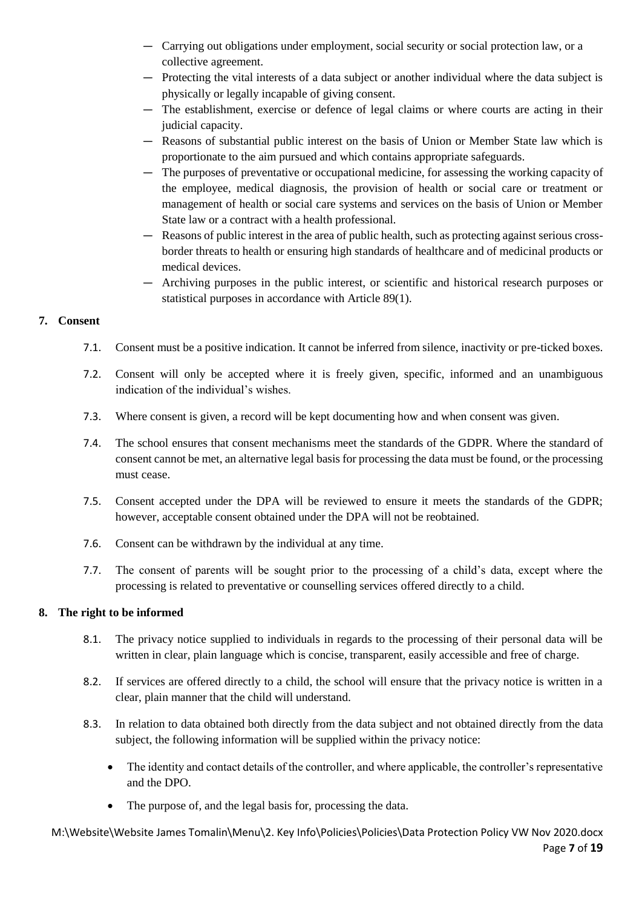- Carrying out obligations under employment, social security or social protection law, or a collective agreement.
- Protecting the vital interests of a data subject or another individual where the data subject is physically or legally incapable of giving consent.
- The establishment, exercise or defence of legal claims or where courts are acting in their judicial capacity.
- Reasons of substantial public interest on the basis of Union or Member State law which is proportionate to the aim pursued and which contains appropriate safeguards.
- The purposes of preventative or occupational medicine, for assessing the working capacity of the employee, medical diagnosis, the provision of health or social care or treatment or management of health or social care systems and services on the basis of Union or Member State law or a contract with a health professional.
- Reasons of public interest in the area of public health, such as protecting against serious crossborder threats to health or ensuring high standards of healthcare and of medicinal products or medical devices.
- Archiving purposes in the public interest, or scientific and historical research purposes or statistical purposes in accordance with Article 89(1).

#### <span id="page-6-0"></span>**7. Consent**

- 7.1. Consent must be a positive indication. It cannot be inferred from silence, inactivity or pre-ticked boxes.
- 7.2. Consent will only be accepted where it is freely given, specific, informed and an unambiguous indication of the individual's wishes.
- 7.3. Where consent is given, a record will be kept documenting how and when consent was given.
- 7.4. The school ensures that consent mechanisms meet the standards of the GDPR. Where the standard of consent cannot be met, an alternative legal basis for processing the data must be found, or the processing must cease.
- 7.5. Consent accepted under the DPA will be reviewed to ensure it meets the standards of the GDPR; however, acceptable consent obtained under the DPA will not be reobtained.
- 7.6. Consent can be withdrawn by the individual at any time.
- 7.7. The consent of parents will be sought prior to the processing of a child's data, except where the processing is related to preventative or counselling services offered directly to a child.

#### <span id="page-6-1"></span>**8. The right to be informed**

- 8.1. The privacy notice supplied to individuals in regards to the processing of their personal data will be written in clear, plain language which is concise, transparent, easily accessible and free of charge.
- 8.2. If services are offered directly to a child, the school will ensure that the privacy notice is written in a clear, plain manner that the child will understand.
- 8.3. In relation to data obtained both directly from the data subject and not obtained directly from the data subject, the following information will be supplied within the privacy notice:
	- The identity and contact details of the controller, and where applicable, the controller's representative and the DPO.
	- The purpose of, and the legal basis for, processing the data.

M:\Website\Website James Tomalin\Menu\2. Key Info\Policies\Policies\Data Protection Policy VW Nov 2020.docx Page **7** of **19**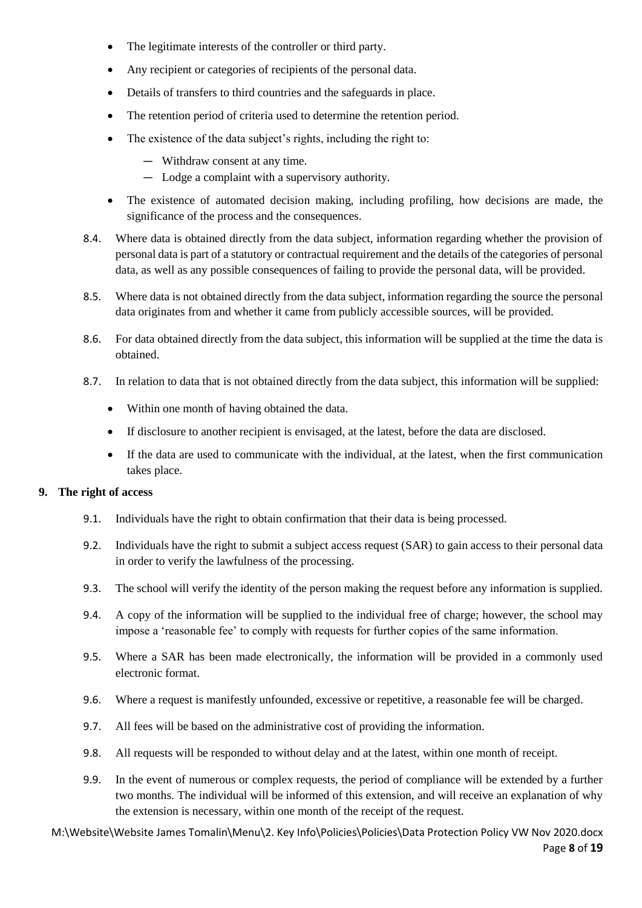- The legitimate interests of the controller or third party.
- Any recipient or categories of recipients of the personal data.
- Details of transfers to third countries and the safeguards in place.
- The retention period of criteria used to determine the retention period.
- The existence of the data subject's rights, including the right to:
	- Withdraw consent at any time.
	- Lodge a complaint with a supervisory authority.
- The existence of automated decision making, including profiling, how decisions are made, the significance of the process and the consequences.
- 8.4. Where data is obtained directly from the data subject, information regarding whether the provision of personal data is part of a statutory or contractual requirement and the details of the categories of personal data, as well as any possible consequences of failing to provide the personal data, will be provided.
- 8.5. Where data is not obtained directly from the data subject, information regarding the source the personal data originates from and whether it came from publicly accessible sources, will be provided.
- 8.6. For data obtained directly from the data subject, this information will be supplied at the time the data is obtained.
- 8.7. In relation to data that is not obtained directly from the data subject, this information will be supplied:
	- Within one month of having obtained the data.
	- If disclosure to another recipient is envisaged, at the latest, before the data are disclosed.
	- If the data are used to communicate with the individual, at the latest, when the first communication takes place.

#### <span id="page-7-0"></span>**9. The right of access**

- 9.1. Individuals have the right to obtain confirmation that their data is being processed.
- 9.2. Individuals have the right to submit a subject access request (SAR) to gain access to their personal data in order to verify the lawfulness of the processing.
- 9.3. The school will verify the identity of the person making the request before any information is supplied.
- 9.4. A copy of the information will be supplied to the individual free of charge; however, the school may impose a 'reasonable fee' to comply with requests for further copies of the same information.
- 9.5. Where a SAR has been made electronically, the information will be provided in a commonly used electronic format.
- 9.6. Where a request is manifestly unfounded, excessive or repetitive, a reasonable fee will be charged.
- 9.7. All fees will be based on the administrative cost of providing the information.
- 9.8. All requests will be responded to without delay and at the latest, within one month of receipt.
- 9.9. In the event of numerous or complex requests, the period of compliance will be extended by a further two months. The individual will be informed of this extension, and will receive an explanation of why the extension is necessary, within one month of the receipt of the request.

M:\Website\Website James Tomalin\Menu\2. Key Info\Policies\Policies\Data Protection Policy VW Nov 2020.docx Page **8** of **19**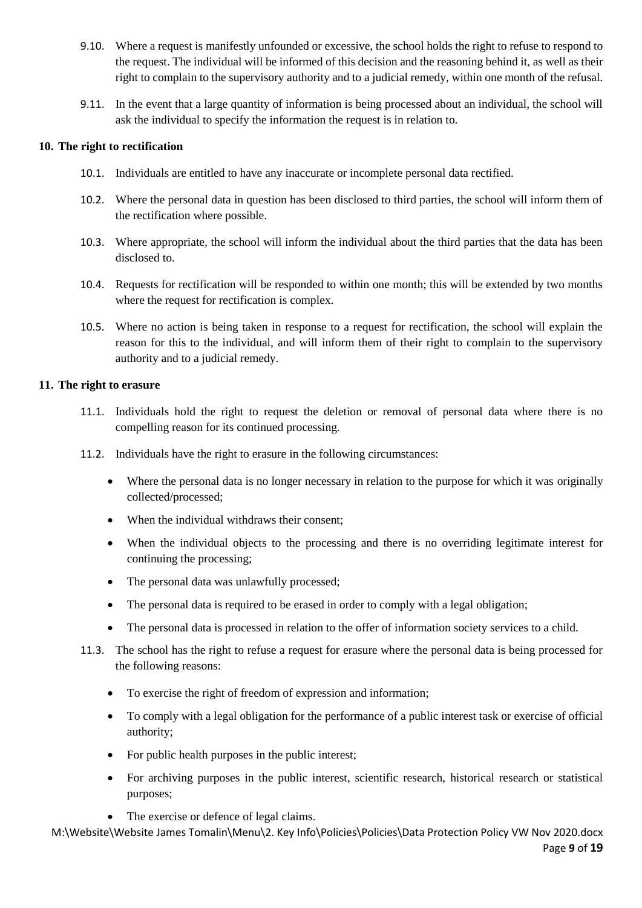- 9.10. Where a request is manifestly unfounded or excessive, the school holds the right to refuse to respond to the request. The individual will be informed of this decision and the reasoning behind it, as well as their right to complain to the supervisory authority and to a judicial remedy, within one month of the refusal.
- 9.11. In the event that a large quantity of information is being processed about an individual, the school will ask the individual to specify the information the request is in relation to.

#### <span id="page-8-0"></span>**10. The right to rectification**

- 10.1. Individuals are entitled to have any inaccurate or incomplete personal data rectified.
- 10.2. Where the personal data in question has been disclosed to third parties, the school will inform them of the rectification where possible.
- 10.3. Where appropriate, the school will inform the individual about the third parties that the data has been disclosed to.
- 10.4. Requests for rectification will be responded to within one month; this will be extended by two months where the request for rectification is complex.
- 10.5. Where no action is being taken in response to a request for rectification, the school will explain the reason for this to the individual, and will inform them of their right to complain to the supervisory authority and to a judicial remedy.

#### <span id="page-8-1"></span>**11. The right to erasure**

- 11.1. Individuals hold the right to request the deletion or removal of personal data where there is no compelling reason for its continued processing.
- 11.2. Individuals have the right to erasure in the following circumstances:
	- Where the personal data is no longer necessary in relation to the purpose for which it was originally collected/processed;
	- When the individual withdraws their consent;
	- When the individual objects to the processing and there is no overriding legitimate interest for continuing the processing;
	- The personal data was unlawfully processed;
	- The personal data is required to be erased in order to comply with a legal obligation;
	- The personal data is processed in relation to the offer of information society services to a child.
- 11.3. The school has the right to refuse a request for erasure where the personal data is being processed for the following reasons:
	- To exercise the right of freedom of expression and information;
	- To comply with a legal obligation for the performance of a public interest task or exercise of official authority;
	- For public health purposes in the public interest;
	- For archiving purposes in the public interest, scientific research, historical research or statistical purposes;
	- The exercise or defence of legal claims.

M:\Website\Website James Tomalin\Menu\2. Key Info\Policies\Policies\Data Protection Policy VW Nov 2020.docx Page **9** of **19**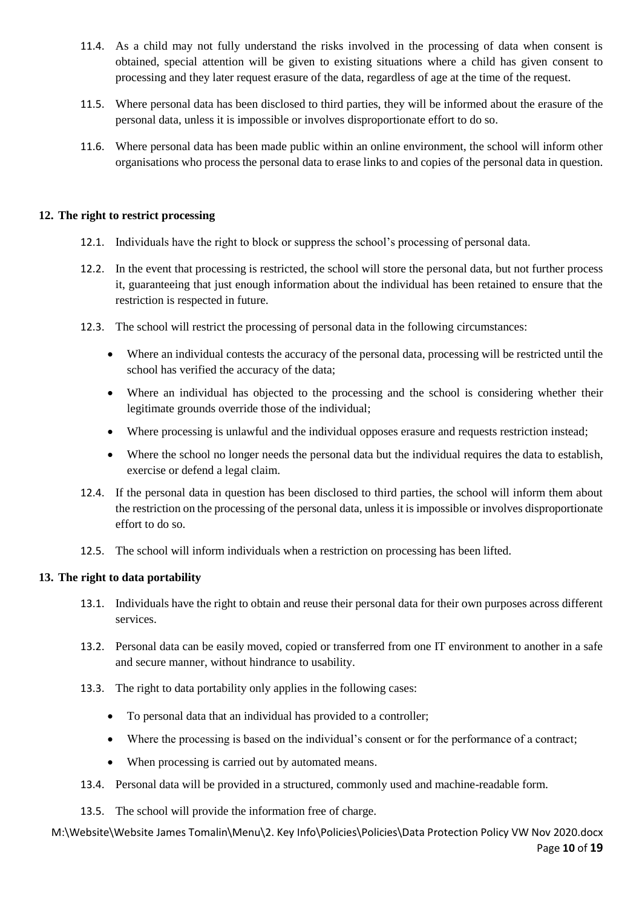- 11.4. As a child may not fully understand the risks involved in the processing of data when consent is obtained, special attention will be given to existing situations where a child has given consent to processing and they later request erasure of the data, regardless of age at the time of the request.
- 11.5. Where personal data has been disclosed to third parties, they will be informed about the erasure of the personal data, unless it is impossible or involves disproportionate effort to do so.
- 11.6. Where personal data has been made public within an online environment, the school will inform other organisations who process the personal data to erase links to and copies of the personal data in question.

#### <span id="page-9-0"></span>**12. The right to restrict processing**

- 12.1. Individuals have the right to block or suppress the school's processing of personal data.
- 12.2. In the event that processing is restricted, the school will store the personal data, but not further process it, guaranteeing that just enough information about the individual has been retained to ensure that the restriction is respected in future.
- 12.3. The school will restrict the processing of personal data in the following circumstances:
	- Where an individual contests the accuracy of the personal data, processing will be restricted until the school has verified the accuracy of the data;
	- Where an individual has objected to the processing and the school is considering whether their legitimate grounds override those of the individual;
	- Where processing is unlawful and the individual opposes erasure and requests restriction instead;
	- Where the school no longer needs the personal data but the individual requires the data to establish, exercise or defend a legal claim.
- 12.4. If the personal data in question has been disclosed to third parties, the school will inform them about the restriction on the processing of the personal data, unless it is impossible or involves disproportionate effort to do so.
- 12.5. The school will inform individuals when a restriction on processing has been lifted.

#### <span id="page-9-1"></span>**13. The right to data portability**

- 13.1. Individuals have the right to obtain and reuse their personal data for their own purposes across different services.
- 13.2. Personal data can be easily moved, copied or transferred from one IT environment to another in a safe and secure manner, without hindrance to usability.
- 13.3. The right to data portability only applies in the following cases:
	- To personal data that an individual has provided to a controller;
	- Where the processing is based on the individual's consent or for the performance of a contract;
	- When processing is carried out by automated means.
- 13.4. Personal data will be provided in a structured, commonly used and machine-readable form.
- 13.5. The school will provide the information free of charge.

M:\Website\Website James Tomalin\Menu\2. Key Info\Policies\Policies\Data Protection Policy VW Nov 2020.docx Page **10** of **19**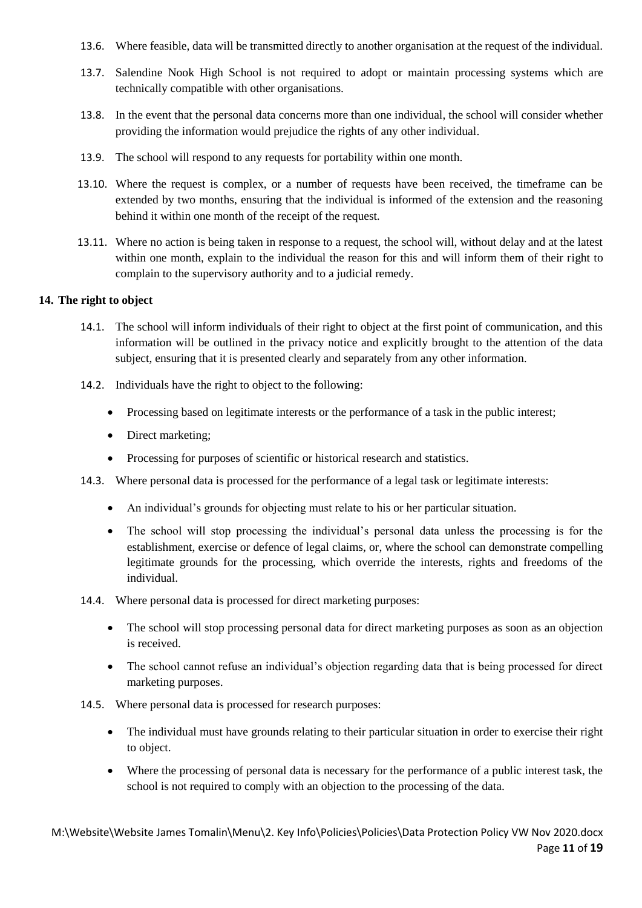- 13.6. Where feasible, data will be transmitted directly to another organisation at the request of the individual.
- 13.7. Salendine Nook High School is not required to adopt or maintain processing systems which are technically compatible with other organisations.
- 13.8. In the event that the personal data concerns more than one individual, the school will consider whether providing the information would prejudice the rights of any other individual.
- 13.9. The school will respond to any requests for portability within one month.
- 13.10. Where the request is complex, or a number of requests have been received, the timeframe can be extended by two months, ensuring that the individual is informed of the extension and the reasoning behind it within one month of the receipt of the request.
- 13.11. Where no action is being taken in response to a request, the school will, without delay and at the latest within one month, explain to the individual the reason for this and will inform them of their right to complain to the supervisory authority and to a judicial remedy.

#### <span id="page-10-0"></span>**14. The right to object**

- 14.1. The school will inform individuals of their right to object at the first point of communication, and this information will be outlined in the privacy notice and explicitly brought to the attention of the data subject, ensuring that it is presented clearly and separately from any other information.
- 14.2. Individuals have the right to object to the following:
	- Processing based on legitimate interests or the performance of a task in the public interest;
	- Direct marketing:
	- Processing for purposes of scientific or historical research and statistics.
- 14.3. Where personal data is processed for the performance of a legal task or legitimate interests:
	- An individual's grounds for objecting must relate to his or her particular situation.
	- The school will stop processing the individual's personal data unless the processing is for the establishment, exercise or defence of legal claims, or, where the school can demonstrate compelling legitimate grounds for the processing, which override the interests, rights and freedoms of the individual.
- 14.4. Where personal data is processed for direct marketing purposes:
	- The school will stop processing personal data for direct marketing purposes as soon as an objection is received.
	- The school cannot refuse an individual's objection regarding data that is being processed for direct marketing purposes.
- 14.5. Where personal data is processed for research purposes:
	- The individual must have grounds relating to their particular situation in order to exercise their right to object.
	- Where the processing of personal data is necessary for the performance of a public interest task, the school is not required to comply with an objection to the processing of the data.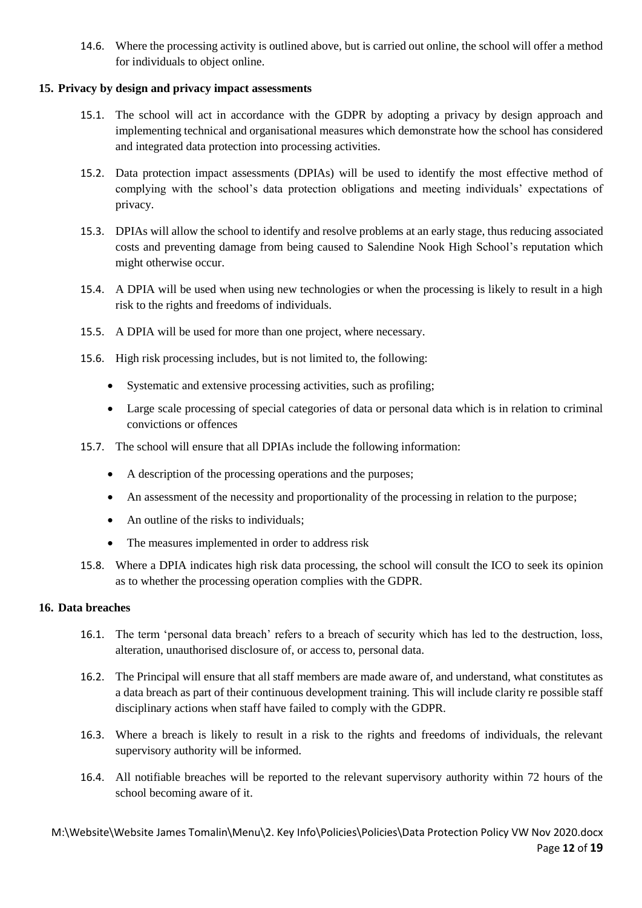14.6. Where the processing activity is outlined above, but is carried out online, the school will offer a method for individuals to object online.

#### <span id="page-11-0"></span>**15. Privacy by design and privacy impact assessments**

- 15.1. The school will act in accordance with the GDPR by adopting a privacy by design approach and implementing technical and organisational measures which demonstrate how the school has considered and integrated data protection into processing activities.
- 15.2. Data protection impact assessments (DPIAs) will be used to identify the most effective method of complying with the school's data protection obligations and meeting individuals' expectations of privacy.
- 15.3. DPIAs will allow the school to identify and resolve problems at an early stage, thus reducing associated costs and preventing damage from being caused to Salendine Nook High School's reputation which might otherwise occur.
- 15.4. A DPIA will be used when using new technologies or when the processing is likely to result in a high risk to the rights and freedoms of individuals.
- 15.5. A DPIA will be used for more than one project, where necessary.
- 15.6. High risk processing includes, but is not limited to, the following:
	- Systematic and extensive processing activities, such as profiling;
	- Large scale processing of special categories of data or personal data which is in relation to criminal convictions or offences
- 15.7. The school will ensure that all DPIAs include the following information:
	- A description of the processing operations and the purposes;
	- An assessment of the necessity and proportionality of the processing in relation to the purpose;
	- An outline of the risks to individuals;
	- The measures implemented in order to address risk
- 15.8. Where a DPIA indicates high risk data processing, the school will consult the ICO to seek its opinion as to whether the processing operation complies with the GDPR.

#### <span id="page-11-1"></span>**16. Data breaches**

- 16.1. The term 'personal data breach' refers to a breach of security which has led to the destruction, loss, alteration, unauthorised disclosure of, or access to, personal data.
- 16.2. The Principal will ensure that all staff members are made aware of, and understand, what constitutes as a data breach as part of their continuous development training. This will include clarity re possible staff disciplinary actions when staff have failed to comply with the GDPR.
- 16.3. Where a breach is likely to result in a risk to the rights and freedoms of individuals, the relevant supervisory authority will be informed.
- 16.4. All notifiable breaches will be reported to the relevant supervisory authority within 72 hours of the school becoming aware of it.

M:\Website\Website James Tomalin\Menu\2. Key Info\Policies\Policies\Data Protection Policy VW Nov 2020.docx Page **12** of **19**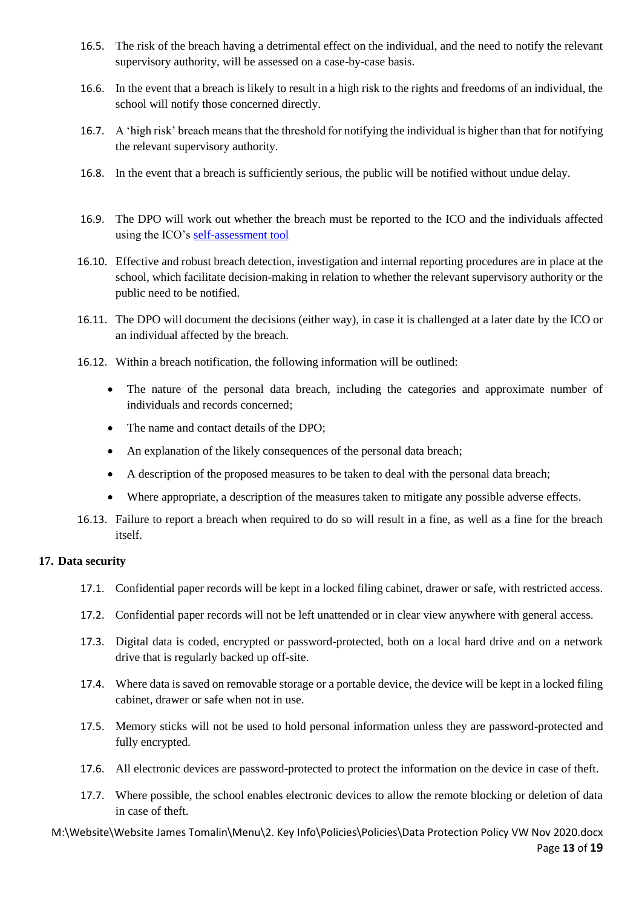- 16.5. The risk of the breach having a detrimental effect on the individual, and the need to notify the relevant supervisory authority, will be assessed on a case-by-case basis.
- 16.6. In the event that a breach is likely to result in a high risk to the rights and freedoms of an individual, the school will notify those concerned directly.
- 16.7. A 'high risk' breach means that the threshold for notifying the individual is higher than that for notifying the relevant supervisory authority.
- 16.8. In the event that a breach is sufficiently serious, the public will be notified without undue delay.
- 16.9. The DPO will work out whether the breach must be reported to the ICO and the individuals affected using the ICO's [self-assessment tool](https://ico.org.uk/for-organisations/report-a-breach/personal-data-breach-assessment/)
- 16.10. Effective and robust breach detection, investigation and internal reporting procedures are in place at the school, which facilitate decision-making in relation to whether the relevant supervisory authority or the public need to be notified.
- 16.11. The DPO will document the decisions (either way), in case it is challenged at a later date by the ICO or an individual affected by the breach.
- 16.12. Within a breach notification, the following information will be outlined:
	- The nature of the personal data breach, including the categories and approximate number of individuals and records concerned;
	- The name and contact details of the DPO;
	- An explanation of the likely consequences of the personal data breach;
	- A description of the proposed measures to be taken to deal with the personal data breach;
	- Where appropriate, a description of the measures taken to mitigate any possible adverse effects.
- 16.13. Failure to report a breach when required to do so will result in a fine, as well as a fine for the breach itself.

#### <span id="page-12-0"></span>**17. Data security**

- 17.1. Confidential paper records will be kept in a locked filing cabinet, drawer or safe, with restricted access.
- 17.2. Confidential paper records will not be left unattended or in clear view anywhere with general access.
- 17.3. Digital data is coded, encrypted or password-protected, both on a local hard drive and on a network drive that is regularly backed up off-site.
- 17.4. Where data is saved on removable storage or a portable device, the device will be kept in a locked filing cabinet, drawer or safe when not in use.
- 17.5. Memory sticks will not be used to hold personal information unless they are password-protected and fully encrypted.
- 17.6. All electronic devices are password-protected to protect the information on the device in case of theft.
- 17.7. Where possible, the school enables electronic devices to allow the remote blocking or deletion of data in case of theft.

M:\Website\Website James Tomalin\Menu\2. Key Info\Policies\Policies\Data Protection Policy VW Nov 2020.docx Page **13** of **19**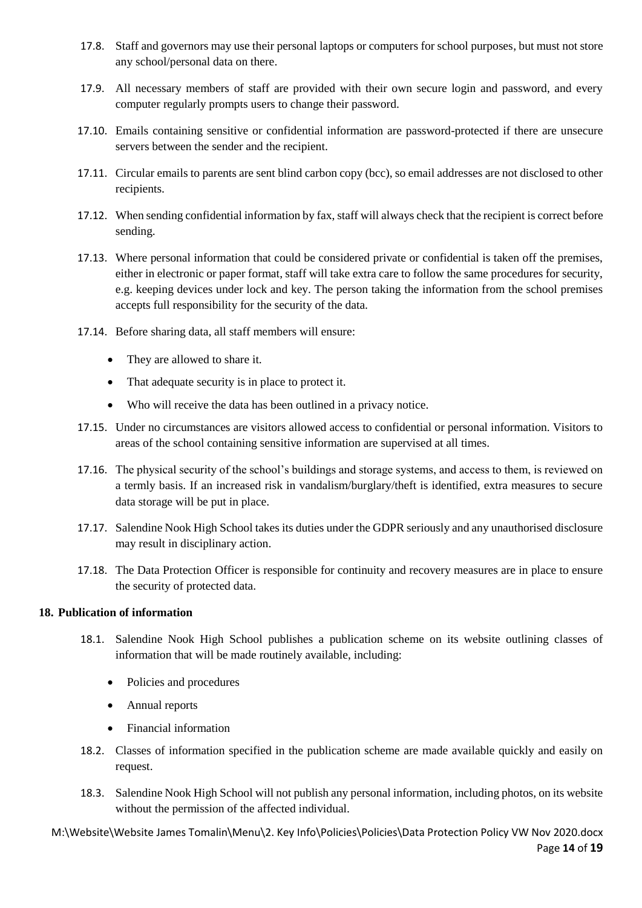- 17.8. Staff and governors may use their personal laptops or computers for school purposes, but must not store any school/personal data on there.
- 17.9. All necessary members of staff are provided with their own secure login and password, and every computer regularly prompts users to change their password.
- 17.10. Emails containing sensitive or confidential information are password-protected if there are unsecure servers between the sender and the recipient.
- 17.11. Circular emails to parents are sent blind carbon copy (bcc), so email addresses are not disclosed to other recipients.
- 17.12. When sending confidential information by fax, staff will always check that the recipient is correct before sending.
- 17.13. Where personal information that could be considered private or confidential is taken off the premises, either in electronic or paper format, staff will take extra care to follow the same procedures for security, e.g. keeping devices under lock and key. The person taking the information from the school premises accepts full responsibility for the security of the data.
- 17.14. Before sharing data, all staff members will ensure:
	- They are allowed to share it.
	- That adequate security is in place to protect it.
	- Who will receive the data has been outlined in a privacy notice.
- 17.15. Under no circumstances are visitors allowed access to confidential or personal information. Visitors to areas of the school containing sensitive information are supervised at all times.
- 17.16. The physical security of the school's buildings and storage systems, and access to them, is reviewed on a termly basis. If an increased risk in vandalism/burglary/theft is identified, extra measures to secure data storage will be put in place.
- 17.17. Salendine Nook High School takes its duties under the GDPR seriously and any unauthorised disclosure may result in disciplinary action.
- 17.18. The Data Protection Officer is responsible for continuity and recovery measures are in place to ensure the security of protected data.

#### <span id="page-13-0"></span>**18. Publication of information**

- 18.1. Salendine Nook High School publishes a publication scheme on its website outlining classes of information that will be made routinely available, including:
	- Policies and procedures
	- Annual reports
	- Financial information
- 18.2. Classes of information specified in the publication scheme are made available quickly and easily on request.
- 18.3. Salendine Nook High School will not publish any personal information, including photos, on its website without the permission of the affected individual.

M:\Website\Website James Tomalin\Menu\2. Key Info\Policies\Policies\Data Protection Policy VW Nov 2020.docx Page **14** of **19**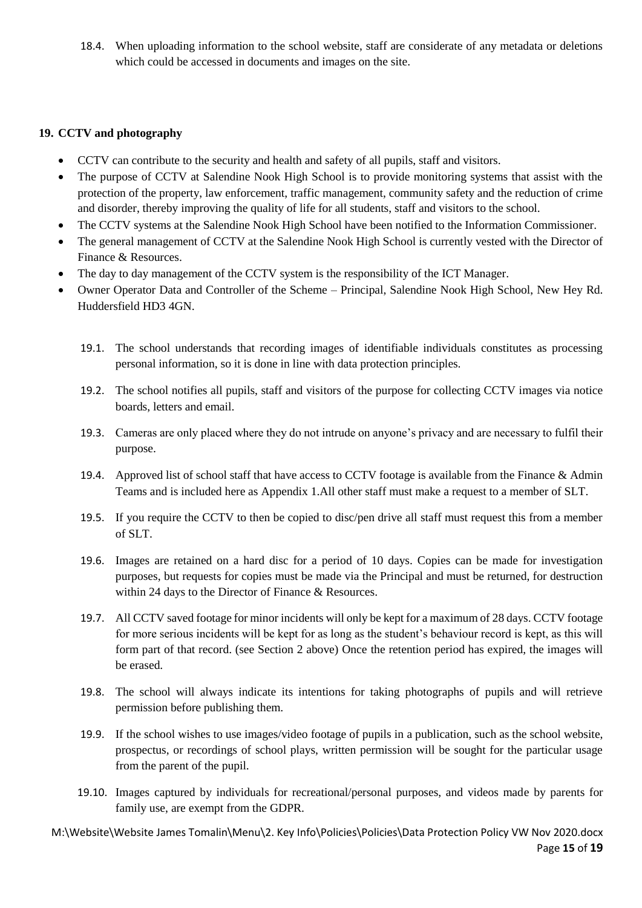18.4. When uploading information to the school website, staff are considerate of any metadata or deletions which could be accessed in documents and images on the site.

#### <span id="page-14-0"></span>**19. CCTV and photography**

- CCTV can contribute to the security and health and safety of all pupils, staff and visitors.
- The purpose of CCTV at Salendine Nook High School is to provide monitoring systems that assist with the protection of the property, law enforcement, traffic management, community safety and the reduction of crime and disorder, thereby improving the quality of life for all students, staff and visitors to the school.
- The CCTV systems at the Salendine Nook High School have been notified to the Information Commissioner.
- The general management of CCTV at the Salendine Nook High School is currently vested with the Director of Finance & Resources.
- The day to day management of the CCTV system is the responsibility of the ICT Manager.
- Owner Operator Data and Controller of the Scheme Principal, Salendine Nook High School, New Hey Rd. Huddersfield HD3 4GN.
	- 19.1. The school understands that recording images of identifiable individuals constitutes as processing personal information, so it is done in line with data protection principles.
	- 19.2. The school notifies all pupils, staff and visitors of the purpose for collecting CCTV images via notice boards, letters and email.
	- 19.3. Cameras are only placed where they do not intrude on anyone's privacy and are necessary to fulfil their purpose.
	- 19.4. Approved list of school staff that have access to CCTV footage is available from the Finance & Admin Teams and is included here as Appendix 1.All other staff must make a request to a member of SLT.
	- 19.5. If you require the CCTV to then be copied to disc/pen drive all staff must request this from a member of SLT.
	- 19.6. Images are retained on a hard disc for a period of 10 days. Copies can be made for investigation purposes, but requests for copies must be made via the Principal and must be returned, for destruction within 24 days to the Director of Finance & Resources.
	- 19.7. All CCTV saved footage for minor incidents will only be kept for a maximum of 28 days. CCTV footage for more serious incidents will be kept for as long as the student's behaviour record is kept, as this will form part of that record. (see Section 2 above) Once the retention period has expired, the images will be erased.
	- 19.8. The school will always indicate its intentions for taking photographs of pupils and will retrieve permission before publishing them.
	- 19.9. If the school wishes to use images/video footage of pupils in a publication, such as the school website, prospectus, or recordings of school plays, written permission will be sought for the particular usage from the parent of the pupil.
	- 19.10. Images captured by individuals for recreational/personal purposes, and videos made by parents for family use, are exempt from the GDPR.

M:\Website\Website James Tomalin\Menu\2. Key Info\Policies\Policies\Data Protection Policy VW Nov 2020.docx Page **15** of **19**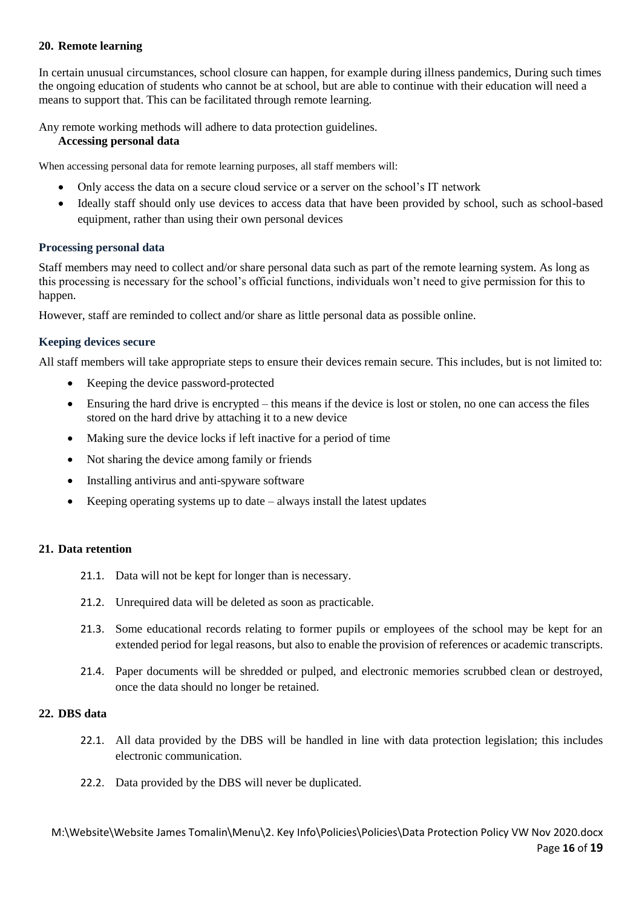#### **20. Remote learning**

In certain unusual circumstances, school closure can happen, for example during illness pandemics, During such times the ongoing education of students who cannot be at school, but are able to continue with their education will need a means to support that. This can be facilitated through remote learning.

Any remote working methods will adhere to data protection guidelines.

#### **Accessing personal data**

When accessing personal data for remote learning purposes, all staff members will:

- Only access the data on a secure cloud service or a server on the school's IT network
- Ideally staff should only use devices to access data that have been provided by school, such as school-based equipment, rather than using their own personal devices

#### **Processing personal data**

Staff members may need to collect and/or share personal data such as part of the remote learning system. As long as this processing is necessary for the school's official functions, individuals won't need to give permission for this to happen.

However, staff are reminded to collect and/or share as little personal data as possible online.

#### **Keeping devices secure**

All staff members will take appropriate steps to ensure their devices remain secure. This includes, but is not limited to:

- Keeping the device password-protected
- Ensuring the hard drive is encrypted this means if the device is lost or stolen, no one can access the files stored on the hard drive by attaching it to a new device
- Making sure the device locks if left inactive for a period of time
- Not sharing the device among family or friends
- Installing antivirus and anti-spyware software
- Keeping operating systems up to date always install the latest updates

#### <span id="page-15-0"></span>**21. Data retention**

- 21.1. Data will not be kept for longer than is necessary.
- 21.2. Unrequired data will be deleted as soon as practicable.
- 21.3. Some educational records relating to former pupils or employees of the school may be kept for an extended period for legal reasons, but also to enable the provision of references or academic transcripts.
- 21.4. Paper documents will be shredded or pulped, and electronic memories scrubbed clean or destroyed, once the data should no longer be retained.

#### <span id="page-15-1"></span>**22. DBS data**

- 22.1. All data provided by the DBS will be handled in line with data protection legislation; this includes electronic communication.
- 22.2. Data provided by the DBS will never be duplicated.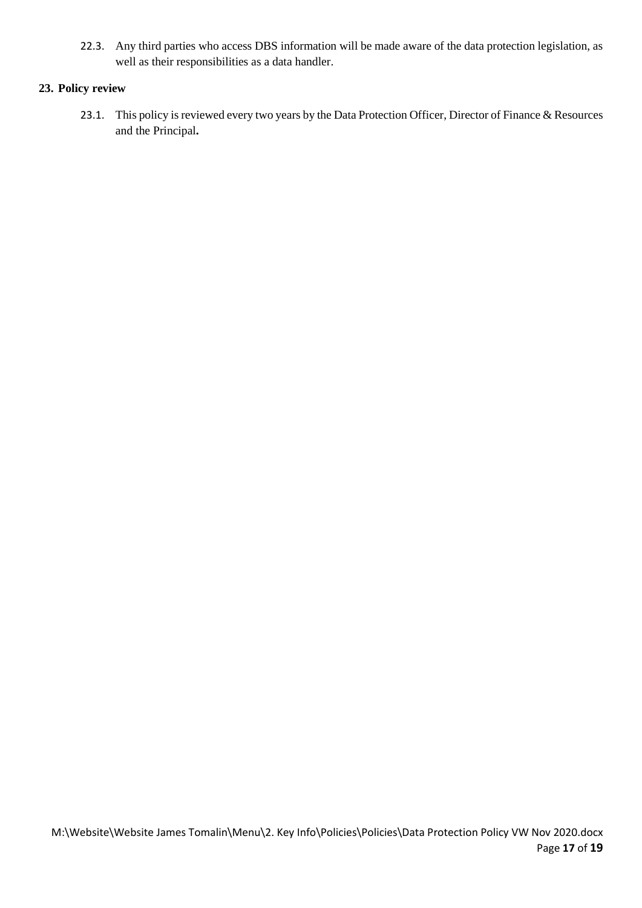22.3. Any third parties who access DBS information will be made aware of the data protection legislation, as well as their responsibilities as a data handler.

#### <span id="page-16-0"></span>**23. Policy review**

23.1. This policy is reviewed every two years by the Data Protection Officer, Director of Finance & Resources and the Principal**.**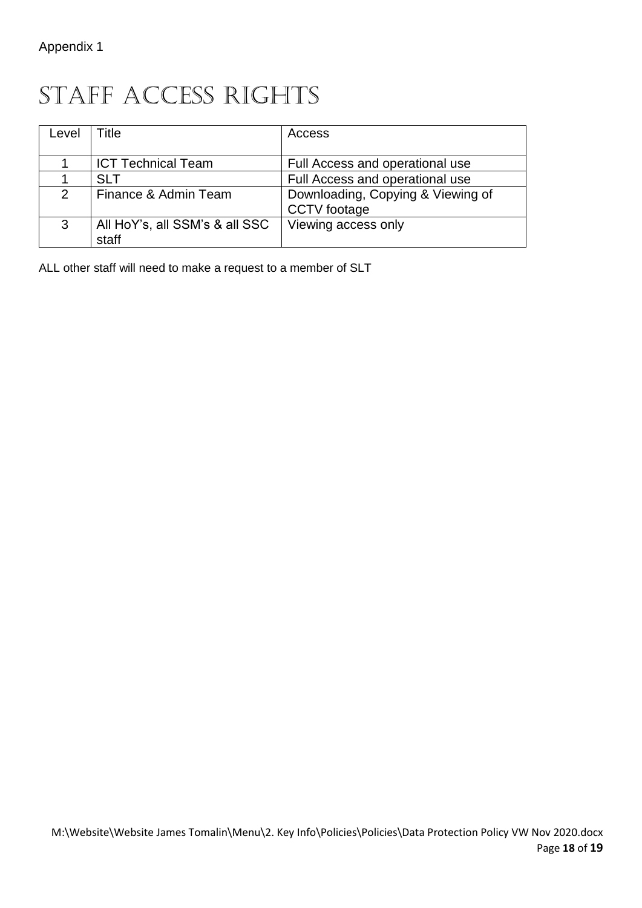### STAFF ACCESS RIGHTS

| Level | Title                          | Access                            |
|-------|--------------------------------|-----------------------------------|
|       |                                |                                   |
|       | <b>ICT Technical Team</b>      | Full Access and operational use   |
|       | <b>SLT</b>                     | Full Access and operational use   |
| 2     | Finance & Admin Team           | Downloading, Copying & Viewing of |
|       |                                | CCTV footage                      |
| 3     | All HoY's, all SSM's & all SSC | Viewing access only               |
|       | staff                          |                                   |

ALL other staff will need to make a request to a member of SLT